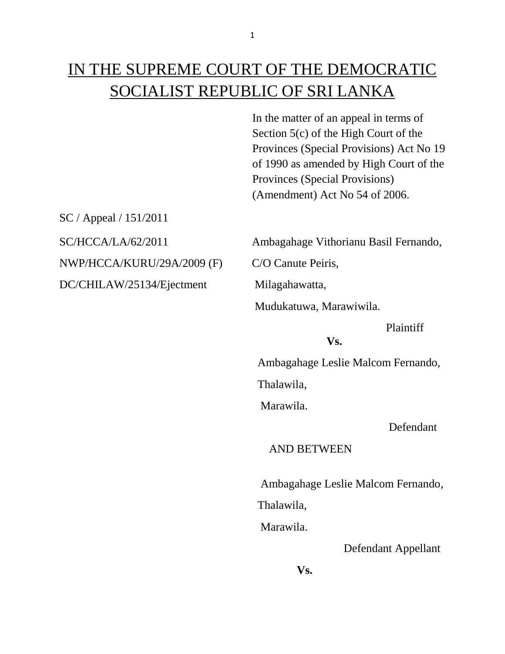# IN THE SUPREME COURT OF THE DEMOCRATIC SOCIALIST REPUBLIC OF SRI LANKA

In the matter of an appeal in terms of Section 5(c) of the High Court of the Provinces (Special Provisions) Act No 19 of 1990 as amended by High Court of the Provinces (Special Provisions) (Amendment) Act No 54 of 2006.

SC / Appeal / 151/2011 NWP/HCCA/KURU/29A/2009 (F) C/O Canute Peiris, DC/CHILAW/25134/Ejectment Milagahawatta,

SC/HCCA/LA/62/2011 Ambagahage Vithorianu Basil Fernando,

Mudukatuwa, Marawiwila.

### Plaintiff

#### **Vs.**

Ambagahage Leslie Malcom Fernando,

Thalawila,

Marawila.

Defendant

## AND BETWEEN

Ambagahage Leslie Malcom Fernando,

Thalawila,

Marawila.

Defendant Appellant

**Vs.**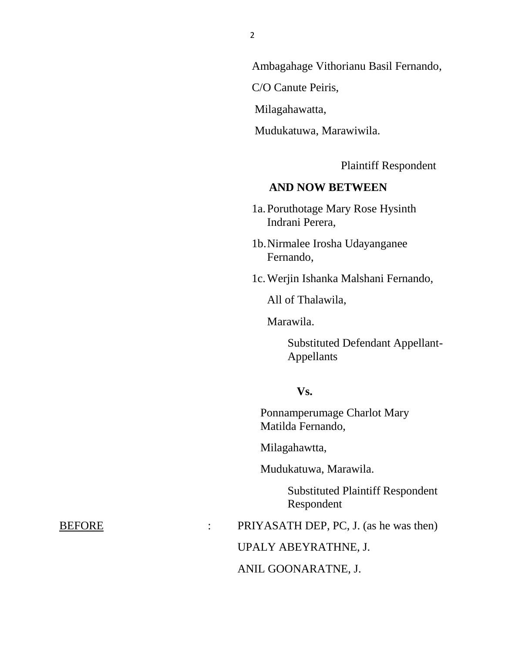Ambagahage Vithorianu Basil Fernando,

C/O Canute Peiris,

Milagahawatta,

Mudukatuwa, Marawiwila.

Plaintiff Respondent

# **AND NOW BETWEEN**

 1a.Poruthotage Mary Rose Hysinth Indrani Perera,

1b.Nirmalee Irosha Udayanganee Fernando,

1c.Werjin Ishanka Malshani Fernando,

All of Thalawila,

Marawila.

Substituted Defendant Appellant-Appellants

#### **Vs.**

Ponnamperumage Charlot Mary Matilda Fernando,

Milagahawtta,

Mudukatuwa, Marawila.

Substituted Plaintiff Respondent Respondent

BEFORE : PRIYASATH DEP, PC, J. (as he was then)

UPALY ABEYRATHNE, J.

ANIL GOONARATNE, J.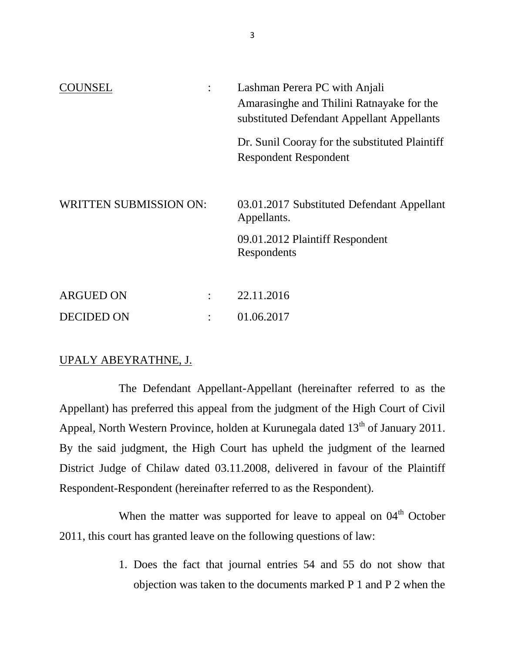| <b>I INSEL</b>                |  | Lashman Perera PC with Anjali<br>Amarasinghe and Thilini Ratnayake for the<br>substituted Defendant Appellant Appellants |
|-------------------------------|--|--------------------------------------------------------------------------------------------------------------------------|
|                               |  | Dr. Sunil Cooray for the substituted Plaintiff<br><b>Respondent Respondent</b>                                           |
| <b>WRITTEN SUBMISSION ON:</b> |  | 03.01.2017 Substituted Defendant Appellant<br>Appellants.                                                                |
|                               |  | 09.01.2012 Plaintiff Respondent<br>Respondents                                                                           |
| <b>ARGUED ON</b>              |  | 22.11.2016                                                                                                               |
| <b>DECIDED ON</b>             |  | 01.06.2017                                                                                                               |

## UPALY ABEYRATHNE, J.

The Defendant Appellant-Appellant (hereinafter referred to as the Appellant) has preferred this appeal from the judgment of the High Court of Civil Appeal, North Western Province, holden at Kurunegala dated  $13<sup>th</sup>$  of January 2011. By the said judgment, the High Court has upheld the judgment of the learned District Judge of Chilaw dated 03.11.2008, delivered in favour of the Plaintiff Respondent-Respondent (hereinafter referred to as the Respondent).

When the matter was supported for leave to appeal on  $04<sup>th</sup>$  October 2011, this court has granted leave on the following questions of law:

> 1. Does the fact that journal entries 54 and 55 do not show that objection was taken to the documents marked P 1 and P 2 when the

3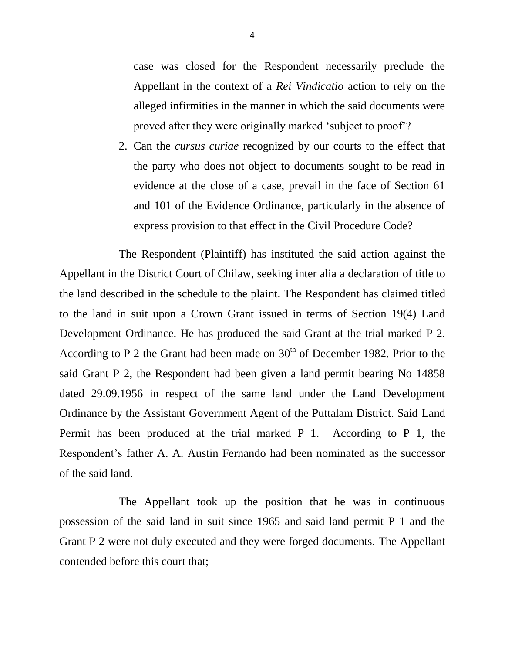case was closed for the Respondent necessarily preclude the Appellant in the context of a *Rei Vindicatio* action to rely on the alleged infirmities in the manner in which the said documents were proved after they were originally marked 'subject to proof'?

2. Can the *cursus curiae* recognized by our courts to the effect that the party who does not object to documents sought to be read in evidence at the close of a case, prevail in the face of Section 61 and 101 of the Evidence Ordinance, particularly in the absence of express provision to that effect in the Civil Procedure Code?

The Respondent (Plaintiff) has instituted the said action against the Appellant in the District Court of Chilaw, seeking inter alia a declaration of title to the land described in the schedule to the plaint. The Respondent has claimed titled to the land in suit upon a Crown Grant issued in terms of Section 19(4) Land Development Ordinance. He has produced the said Grant at the trial marked P 2. According to P 2 the Grant had been made on  $30<sup>th</sup>$  of December 1982. Prior to the said Grant P 2, the Respondent had been given a land permit bearing No 14858 dated 29.09.1956 in respect of the same land under the Land Development Ordinance by the Assistant Government Agent of the Puttalam District. Said Land Permit has been produced at the trial marked P 1. According to P 1, the Respondent's father A. A. Austin Fernando had been nominated as the successor of the said land.

The Appellant took up the position that he was in continuous possession of the said land in suit since 1965 and said land permit P 1 and the Grant P 2 were not duly executed and they were forged documents. The Appellant contended before this court that;

4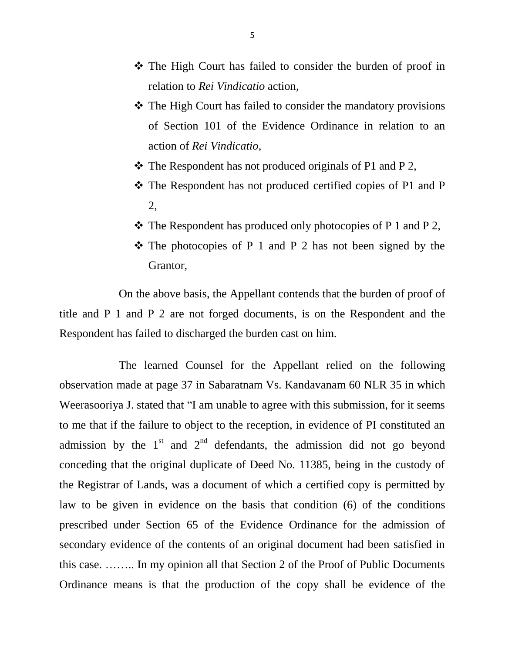- The High Court has failed to consider the burden of proof in relation to *Rei Vindicatio* action,
- The High Court has failed to consider the mandatory provisions of Section 101 of the Evidence Ordinance in relation to an action of *Rei Vindicatio*,
- $\triangle$  The Respondent has not produced originals of P1 and P 2,
- The Respondent has not produced certified copies of P1 and P 2,
- $\cdot \cdot$  The Respondent has produced only photocopies of P 1 and P 2,
- $\hat{P}$  The photocopies of P 1 and P 2 has not been signed by the Grantor,

On the above basis, the Appellant contends that the burden of proof of title and P 1 and P 2 are not forged documents, is on the Respondent and the Respondent has failed to discharged the burden cast on him.

The learned Counsel for the Appellant relied on the following observation made at page 37 in Sabaratnam Vs. Kandavanam 60 NLR 35 in which Weerasooriya J. stated that "I am unable to agree with this submission, for it seems to me that if the failure to object to the reception, in evidence of PI constituted an admission by the  $1<sup>st</sup>$  and  $2<sup>nd</sup>$  defendants, the admission did not go beyond conceding that the original duplicate of Deed No. 11385, being in the custody of the Registrar of Lands, was a document of which a certified copy is permitted by law to be given in evidence on the basis that condition (6) of the conditions prescribed under Section 65 of the Evidence Ordinance for the admission of secondary evidence of the contents of an original document had been satisfied in this case. …….. In my opinion all that Section 2 of the Proof of Public Documents Ordinance means is that the production of the copy shall be evidence of the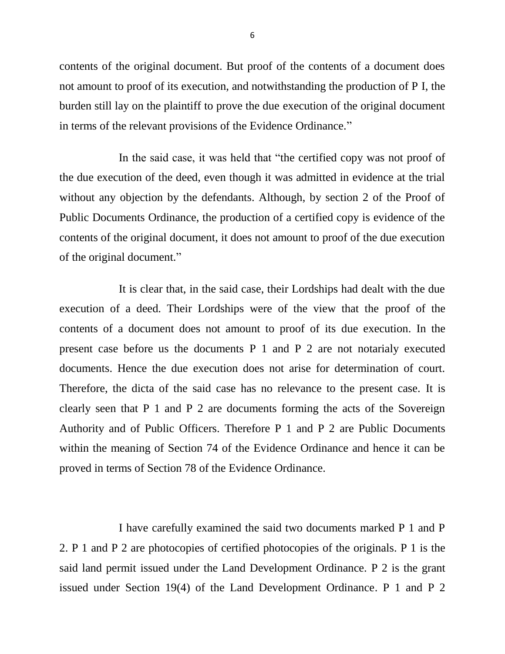contents of the original document. But proof of the contents of a document does not amount to proof of its execution, and notwithstanding the production of P I, the burden still lay on the plaintiff to prove the due execution of the original document in terms of the relevant provisions of the Evidence Ordinance."

In the said case, it was held that "the certified copy was not proof of the due execution of the deed, even though it was admitted in evidence at the trial without any objection by the defendants. Although, by section 2 of the Proof of Public Documents Ordinance, the production of a certified copy is evidence of the contents of the original document, it does not amount to proof of the due execution of the original document."

It is clear that, in the said case, their Lordships had dealt with the due execution of a deed. Their Lordships were of the view that the proof of the contents of a document does not amount to proof of its due execution. In the present case before us the documents P 1 and P 2 are not notarialy executed documents. Hence the due execution does not arise for determination of court. Therefore, the dicta of the said case has no relevance to the present case. It is clearly seen that P 1 and P 2 are documents forming the acts of the Sovereign Authority and of Public Officers. Therefore P 1 and P 2 are Public Documents within the meaning of Section 74 of the Evidence Ordinance and hence it can be proved in terms of Section 78 of the Evidence Ordinance.

I have carefully examined the said two documents marked P 1 and P 2. P 1 and P 2 are photocopies of certified photocopies of the originals. P 1 is the said land permit issued under the Land Development Ordinance. P 2 is the grant issued under Section 19(4) of the Land Development Ordinance. P 1 and P 2

6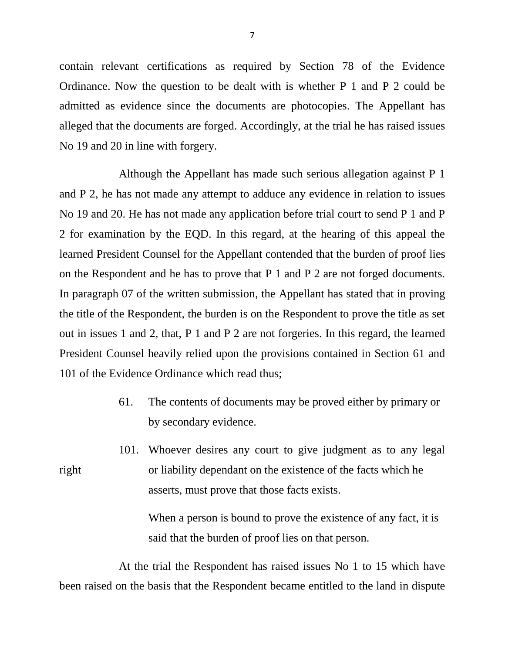contain relevant certifications as required by Section 78 of the Evidence Ordinance. Now the question to be dealt with is whether P 1 and P 2 could be admitted as evidence since the documents are photocopies. The Appellant has alleged that the documents are forged. Accordingly, at the trial he has raised issues No 19 and 20 in line with forgery.

Although the Appellant has made such serious allegation against P 1 and P 2, he has not made any attempt to adduce any evidence in relation to issues No 19 and 20. He has not made any application before trial court to send P 1 and P 2 for examination by the EQD. In this regard, at the hearing of this appeal the learned President Counsel for the Appellant contended that the burden of proof lies on the Respondent and he has to prove that P 1 and P 2 are not forged documents. In paragraph 07 of the written submission, the Appellant has stated that in proving the title of the Respondent, the burden is on the Respondent to prove the title as set out in issues 1 and 2, that, P 1 and P 2 are not forgeries. In this regard, the learned President Counsel heavily relied upon the provisions contained in Section 61 and 101 of the Evidence Ordinance which read thus;

- 61. The contents of documents may be proved either by primary or by secondary evidence.
- 101. Whoever desires any court to give judgment as to any legal right or liability dependant on the existence of the facts which he asserts, must prove that those facts exists.

When a person is bound to prove the existence of any fact, it is said that the burden of proof lies on that person.

At the trial the Respondent has raised issues No 1 to 15 which have been raised on the basis that the Respondent became entitled to the land in dispute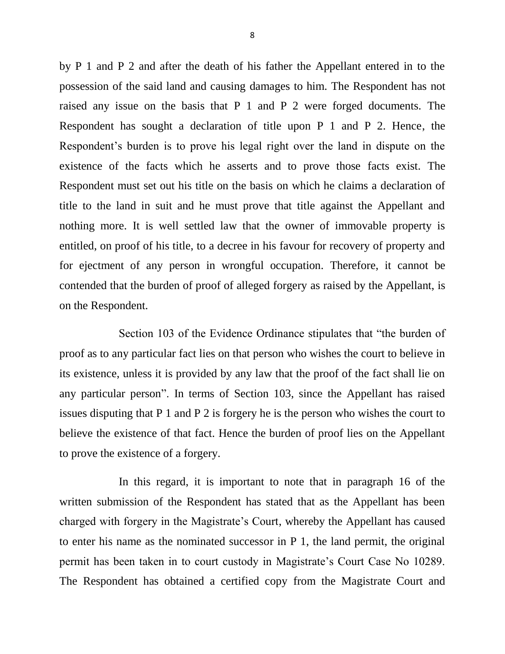by P 1 and P 2 and after the death of his father the Appellant entered in to the possession of the said land and causing damages to him. The Respondent has not raised any issue on the basis that P 1 and P 2 were forged documents. The Respondent has sought a declaration of title upon P 1 and P 2. Hence, the Respondent's burden is to prove his legal right over the land in dispute on the existence of the facts which he asserts and to prove those facts exist. The Respondent must set out his title on the basis on which he claims a declaration of title to the land in suit and he must prove that title against the Appellant and nothing more. It is well settled law that the owner of immovable property is entitled, on proof of his title, to a decree in his favour for recovery of property and for ejectment of any person in wrongful occupation. Therefore, it cannot be contended that the burden of proof of alleged forgery as raised by the Appellant, is on the Respondent.

Section 103 of the Evidence Ordinance stipulates that "the burden of proof as to any particular fact lies on that person who wishes the court to believe in its existence, unless it is provided by any law that the proof of the fact shall lie on any particular person". In terms of Section 103, since the Appellant has raised issues disputing that P 1 and P 2 is forgery he is the person who wishes the court to believe the existence of that fact. Hence the burden of proof lies on the Appellant to prove the existence of a forgery.

In this regard, it is important to note that in paragraph 16 of the written submission of the Respondent has stated that as the Appellant has been charged with forgery in the Magistrate's Court, whereby the Appellant has caused to enter his name as the nominated successor in P 1, the land permit, the original permit has been taken in to court custody in Magistrate's Court Case No 10289. The Respondent has obtained a certified copy from the Magistrate Court and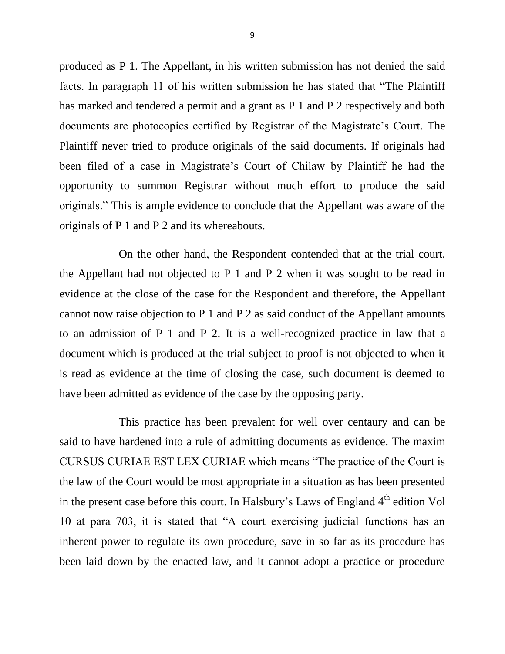produced as P 1. The Appellant, in his written submission has not denied the said facts. In paragraph 11 of his written submission he has stated that "The Plaintiff has marked and tendered a permit and a grant as P 1 and P 2 respectively and both documents are photocopies certified by Registrar of the Magistrate's Court. The Plaintiff never tried to produce originals of the said documents. If originals had been filed of a case in Magistrate's Court of Chilaw by Plaintiff he had the opportunity to summon Registrar without much effort to produce the said originals." This is ample evidence to conclude that the Appellant was aware of the originals of P 1 and P 2 and its whereabouts.

On the other hand, the Respondent contended that at the trial court, the Appellant had not objected to P 1 and P 2 when it was sought to be read in evidence at the close of the case for the Respondent and therefore, the Appellant cannot now raise objection to P 1 and P 2 as said conduct of the Appellant amounts to an admission of P 1 and P 2. It is a well-recognized practice in law that a document which is produced at the trial subject to proof is not objected to when it is read as evidence at the time of closing the case, such document is deemed to have been admitted as evidence of the case by the opposing party.

This practice has been prevalent for well over centaury and can be said to have hardened into a rule of admitting documents as evidence. The maxim CURSUS CURIAE EST LEX CURIAE which means "The practice of the Court is the law of the Court would be most appropriate in a situation as has been presented in the present case before this court. In Halsbury's Laws of England  $4<sup>th</sup>$  edition Vol 10 at para 703, it is stated that "A court exercising judicial functions has an inherent power to regulate its own procedure, save in so far as its procedure has been laid down by the enacted law, and it cannot adopt a practice or procedure